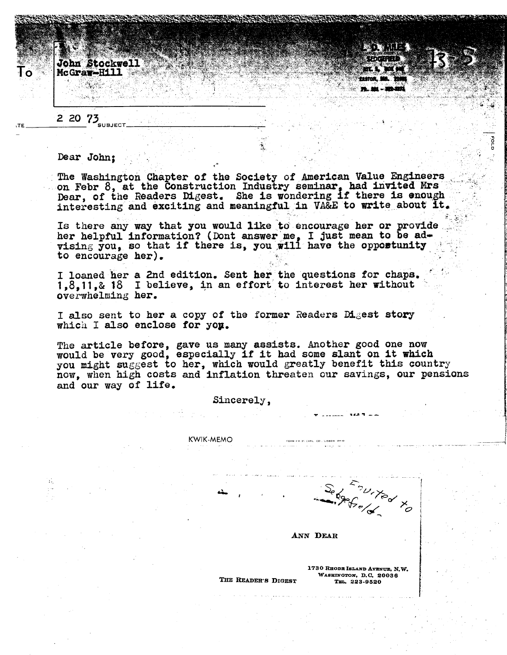John Stockwell McGraw-Hill



## 2 20  $75$ <sub>SUBJECT</sub>

## Dear John:

The Washington Chapter of the Society of American Value Engineers on Febr 8, at the Construction Industry seminar, had invited Mrs Dear, of the Readers Digest. She is wondering if there is enough interesting and exciting and meaningful in VA&E to write about it.

Is there any way that you would like to encourage her or provide. her helpful information? (Dont answer me, I just mean to be advising you, so that if there is, you will have the opportunity to encourage her).

I loaned her a 2nd edition. Sent her the questions for chaps.<br>1,8,11,& 18 I believe, in an effort to interest her without overwhelming her.

I also sent to her a copy of the former Readers Digest story which I also enclose for you.

The article before, gave us many assists. Another good one now would be very good, especially if it had some slant on it which you might suggest to her, which would greatly benefit this country now, when high costs and inflation threaten our savings, our pensions and our way of life.

Sincerely.

KWIK-MEMO

Sebenited to

ANN DEAR

1730 RHODE ISLAND AVENUE, N.W. WASHINGTON, D.C. 20036 TEL. 223-9520

THE READER'S DIGEST